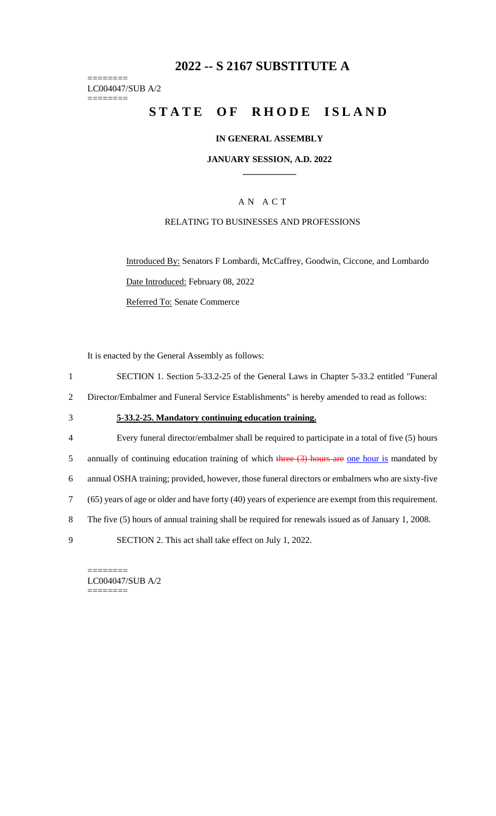# **2022 -- S 2167 SUBSTITUTE A**

======== LC004047/SUB A/2 ========

# **STATE OF RHODE ISLAND**

### **IN GENERAL ASSEMBLY**

### **JANUARY SESSION, A.D. 2022 \_\_\_\_\_\_\_\_\_\_\_\_**

## A N A C T

#### RELATING TO BUSINESSES AND PROFESSIONS

Introduced By: Senators F Lombardi, McCaffrey, Goodwin, Ciccone, and Lombardo Date Introduced: February 08, 2022 Referred To: Senate Commerce

It is enacted by the General Assembly as follows:

- 1 SECTION 1. Section 5-33.2-25 of the General Laws in Chapter 5-33.2 entitled "Funeral
- 2 Director/Embalmer and Funeral Service Establishments" is hereby amended to read as follows:

## 3 **5-33.2-25. Mandatory continuing education training.**

- 4 Every funeral director/embalmer shall be required to participate in a total of five (5) hours
- 5 annually of continuing education training of which three  $(3)$  hours are one hour is mandated by
- 6 annual OSHA training; provided, however, those funeral directors or embalmers who are sixty-five
- 7 (65) years of age or older and have forty (40) years of experience are exempt from this requirement.
- 8 The five (5) hours of annual training shall be required for renewals issued as of January 1, 2008.
- 9 SECTION 2. This act shall take effect on July 1, 2022.

LC004047/SUB A/2 ========

========